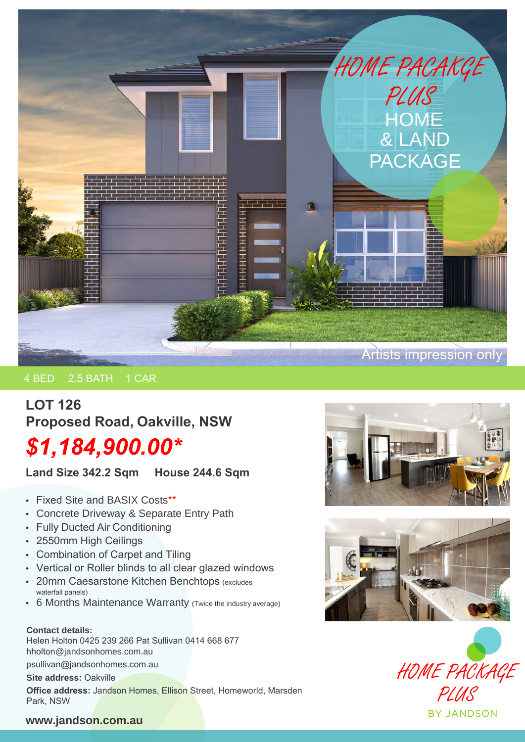

## 4 BED 2.5 BATH 1 CAR

# **LOT 126 Proposed Road, Oakville, NSW** *\$1,184,900.00\**

**Land Size 342.2 Sqm House 244.6 Sqm**

- Fixed Site and BASIX Costs\*\*
- Concrete Driveway & Separate Entry Path
- Fully Ducted Air Conditioning
- 2550mm High Ceilings
- Combination of Carpet and Tiling
- Vertical or Roller blinds to all clear glazed windows
- 20mm Caesarstone Kitchen Benchtops (excludes waterfall panels)
- 6 Months Maintenance Warranty (Twice the industry average)

#### **Contact details:**

Helen Holton 0425 239 266 Pat Sullivan 0414 668 677 hholton@jandsonhomes.com.au

psullivan@jandsonhomes.com.au

**Site address:** Oakville

**Office address:** Jandson Homes, Ellison Street, Homeworld, Marsden Park, NSW







### **www.jandson.com.au**